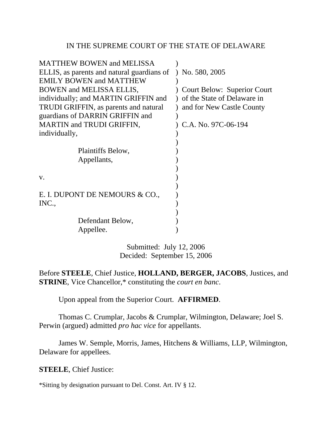## IN THE SUPREME COURT OF THE STATE OF DELAWARE

| <b>MATTHEW BOWEN and MELISSA</b>              |                                    |
|-----------------------------------------------|------------------------------------|
| ELLIS, as parents and natural guardians of    | $)$ No. 580, 2005                  |
| <b>EMILY BOWEN and MATTHEW</b>                |                                    |
| <b>BOWEN</b> and <b>MELISSA ELLIS</b> ,       | <b>Court Below: Superior Court</b> |
| individually; and MARTIN GRIFFIN and          | of the State of Delaware in        |
| <b>TRUDI GRIFFIN</b> , as parents and natural | and for New Castle County          |
| guardians of DARRIN GRIFFIN and               |                                    |
| <b>MARTIN</b> and <b>TRUDI</b> GRIFFIN,       | C.A. No. 97C-06-194                |
| individually,                                 |                                    |
|                                               |                                    |
| Plaintiffs Below,                             |                                    |
| Appellants,                                   |                                    |
|                                               |                                    |
| V.                                            |                                    |
|                                               |                                    |
| E. I. DUPONT DE NEMOURS & CO.,                |                                    |
| INC.,                                         |                                    |
|                                               |                                    |
| Defendant Below,                              |                                    |
| Appellee.                                     |                                    |
|                                               |                                    |

Submitted: July 12, 2006 Decided: September 15, 2006

Before **STEELE**, Chief Justice, **HOLLAND, BERGER, JACOBS**, Justices, and **STRINE**, Vice Chancellor,\* constituting the *court en banc*.

Upon appeal from the Superior Court. **AFFIRMED**.

 Thomas C. Crumplar, Jacobs & Crumplar, Wilmington, Delaware; Joel S. Perwin (argued) admitted *pro hac vice* for appellants.

 James W. Semple, Morris, James, Hitchens & Williams, LLP, Wilmington, Delaware for appellees.

**STEELE**, Chief Justice:

\*Sitting by designation pursuant to Del. Const. Art. IV § 12.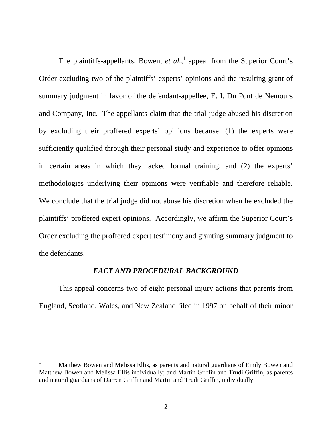The plaintiffs-appellants, Bowen, *et al.*,<sup>1</sup> appeal from the Superior Court's Order excluding two of the plaintiffs' experts' opinions and the resulting grant of summary judgment in favor of the defendant-appellee, E. I. Du Pont de Nemours and Company, Inc. The appellants claim that the trial judge abused his discretion by excluding their proffered experts' opinions because: (1) the experts were sufficiently qualified through their personal study and experience to offer opinions in certain areas in which they lacked formal training; and (2) the experts' methodologies underlying their opinions were verifiable and therefore reliable. We conclude that the trial judge did not abuse his discretion when he excluded the plaintiffs' proffered expert opinions. Accordingly, we affirm the Superior Court's Order excluding the proffered expert testimony and granting summary judgment to the defendants.

## *FACT AND PROCEDURAL BACKGROUND*

This appeal concerns two of eight personal injury actions that parents from England, Scotland, Wales, and New Zealand filed in 1997 on behalf of their minor

 $\overline{a}$ 

<sup>1</sup> Matthew Bowen and Melissa Ellis, as parents and natural guardians of Emily Bowen and Matthew Bowen and Melissa Ellis individually; and Martin Griffin and Trudi Griffin, as parents and natural guardians of Darren Griffin and Martin and Trudi Griffin, individually.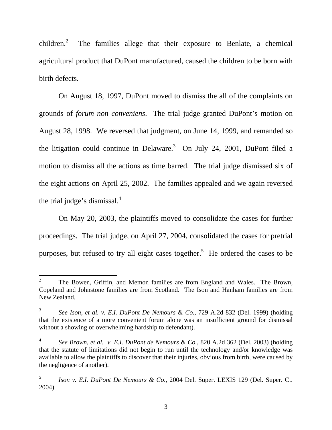children. $2$  The families allege that their exposure to Benlate, a chemical agricultural product that DuPont manufactured, caused the children to be born with birth defects.

On August 18, 1997, DuPont moved to dismiss the all of the complaints on grounds of *forum non conveniens*. The trial judge granted DuPont's motion on August 28, 1998. We reversed that judgment, on June 14, 1999, and remanded so the litigation could continue in Delaware. $3$  On July 24, 2001, DuPont filed a motion to dismiss all the actions as time barred. The trial judge dismissed six of the eight actions on April 25, 2002. The families appealed and we again reversed the trial judge's dismissal. $4$ 

On May 20, 2003, the plaintiffs moved to consolidate the cases for further proceedings. The trial judge, on April 27, 2004, consolidated the cases for pretrial purposes, but refused to try all eight cases together.<sup>5</sup> He ordered the cases to be

 $\frac{1}{2}$  The Bowen, Griffin, and Memon families are from England and Wales. The Brown, Copeland and Johnstone families are from Scotland. The Ison and Hanham families are from New Zealand.

<sup>3</sup> *See Ison, et al. v. E.I. DuPont De Nemours & Co.*, 729 A.2d 832 (Del. 1999) (holding that the existence of a more convenient forum alone was an insufficient ground for dismissal without a showing of overwhelming hardship to defendant).

<sup>4</sup> *See Brown, et al. v. E.I. DuPont de Nemours & Co.*, 820 A.2d 362 (Del. 2003) (holding that the statute of limitations did not begin to run until the technology and/or knowledge was available to allow the plaintiffs to discover that their injuries, obvious from birth, were caused by the negligence of another).

<sup>5</sup> *Ison v. E.I. DuPont De Nemours & Co*., 2004 Del. Super. LEXIS 129 (Del. Super. Ct. 2004)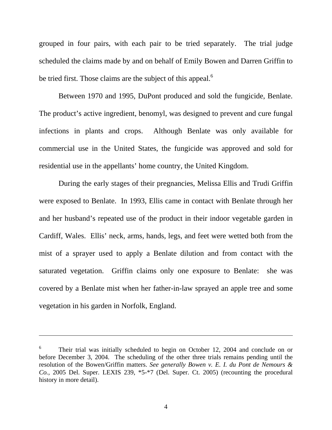grouped in four pairs, with each pair to be tried separately. The trial judge scheduled the claims made by and on behalf of Emily Bowen and Darren Griffin to be tried first. Those claims are the subject of this appeal.<sup>6</sup>

Between 1970 and 1995, DuPont produced and sold the fungicide, Benlate. The product's active ingredient, benomyl, was designed to prevent and cure fungal infections in plants and crops. Although Benlate was only available for commercial use in the United States, the fungicide was approved and sold for residential use in the appellants' home country, the United Kingdom.

During the early stages of their pregnancies, Melissa Ellis and Trudi Griffin were exposed to Benlate. In 1993, Ellis came in contact with Benlate through her and her husband's repeated use of the product in their indoor vegetable garden in Cardiff, Wales. Ellis' neck, arms, hands, legs, and feet were wetted both from the mist of a sprayer used to apply a Benlate dilution and from contact with the saturated vegetation. Griffin claims only one exposure to Benlate: she was covered by a Benlate mist when her father-in-law sprayed an apple tree and some vegetation in his garden in Norfolk, England.

 $\overline{a}$ 

4

<sup>6</sup> Their trial was initially scheduled to begin on October 12, 2004 and conclude on or before December 3, 2004. The scheduling of the other three trials remains pending until the resolution of the Bowen/Griffin matters. *See generally Bowen v. E. I. du Pont de Nemours & Co.*, 2005 Del. Super. LEXIS 239, \*5-\*7 (Del. Super. Ct. 2005) (recounting the procedural history in more detail).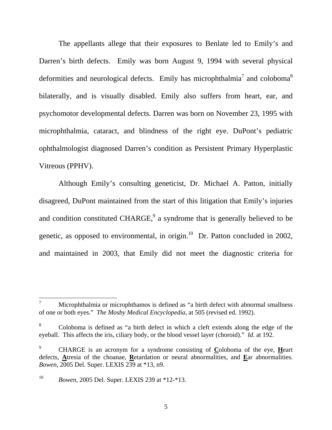The appellants allege that their exposures to Benlate led to Emily's and Darren's birth defects. Emily was born August 9, 1994 with several physical deformities and neurological defects. Emily has microphthalmia<sup>7</sup> and coloboma<sup>8</sup> bilaterally, and is visually disabled. Emily also suffers from heart, ear, and psychomotor developmental defects. Darren was born on November 23, 1995 with microphthalmia, cataract, and blindness of the right eye. DuPont's pediatric ophthalmologist diagnosed Darren's condition as Persistent Primary Hyperplastic Vitreous (PPHV).

Although Emily's consulting geneticist, Dr. Michael A. Patton, initially disagreed, DuPont maintained from the start of this litigation that Emily's injuries and condition constituted CHARGE, $9$  a syndrome that is generally believed to be genetic, as opposed to environmental, in origin. $^{10}$  Dr. Patton concluded in 2002, and maintained in 2003, that Emily did not meet the diagnostic criteria for

 $\overline{a}$ 

<sup>7</sup> Microphthalmia or microphthamos is defined as "a birth defect with abnormal smallness of one or both eyes." *The Mosby Medical Encyclopedia*, at 505 (revised ed. 1992).

<sup>8</sup> Coloboma is defined as "a birth defect in which a cleft extends along the edge of the eyeball. This affects the iris, ciliary body, or the blood vessel layer (choroid)." *Id*. at 192.

<sup>9</sup> CHARGE is an acronym for a syndrome consisting of **C**oloboma of the eye, **H**eart defects, **A**tresia of the choanae, **R**etardation or neural abnormalities, and **E**ar abnormalities. *Bowen*, 2005 Del. Super. LEXIS 239 at \*13, n9.

<sup>10</sup> *Bowen,* 2005 Del. Super. LEXIS 239 at \*12-\*13.

<sup>5</sup>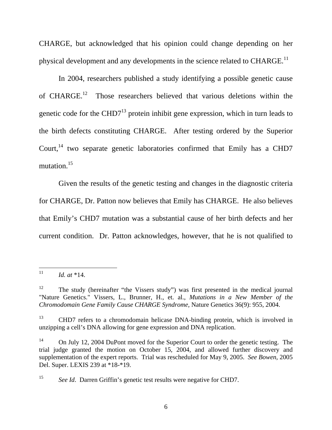CHARGE, but acknowledged that his opinion could change depending on her physical development and any developments in the science related to CHARGE.<sup>11</sup>

 In 2004, researchers published a study identifying a possible genetic cause of CHARGE.12 Those researchers believed that various deletions within the genetic code for the CHD7 $^{13}$  protein inhibit gene expression, which in turn leads to the birth defects constituting CHARGE. After testing ordered by the Superior Court, $14$  two separate genetic laboratories confirmed that Emily has a CHD7 mutation.<sup>15</sup>

 Given the results of the genetic testing and changes in the diagnostic criteria for CHARGE, Dr. Patton now believes that Emily has CHARGE. He also believes that Emily's CHD7 mutation was a substantial cause of her birth defects and her current condition. Dr. Patton acknowledges, however, that he is not qualified to

 $11$ 11 *Id. at* \*14.

<sup>&</sup>lt;sup>12</sup> The study (hereinafter "the Vissers study") was first presented in the medical journal "Nature Genetics." Vissers, L., Brunner, H., et. al., *Mutations in a New Member of the Chromodomain Gene Family Cause CHARGE Syndrome,* Nature Genetics 36(9): 955, 2004.

<sup>13</sup> CHD7 refers to a chromodomain helicase DNA-binding protein, which is involved in unzipping a cell's DNA allowing for gene expression and DNA replication.

<sup>&</sup>lt;sup>14</sup> On July 12, 2004 DuPont moved for the Superior Court to order the genetic testing. The trial judge granted the motion on October 15, 2004, and allowed further discovery and supplementation of the expert reports. Trial was rescheduled for May 9, 2005. *See Bowen*, 2005 Del. Super. LEXIS 239 at \*18-\*19.

<sup>&</sup>lt;sup>15</sup> *See Id.* Darren Griffin's genetic test results were negative for CHD7.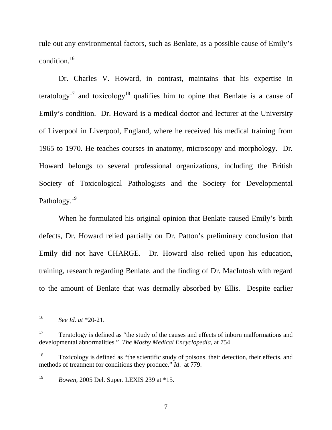rule out any environmental factors, such as Benlate, as a possible cause of Emily's condition.16

 Dr. Charles V. Howard, in contrast, maintains that his expertise in teratology<sup>17</sup> and toxicology<sup>18</sup> qualifies him to opine that Benlate is a cause of Emily's condition. Dr. Howard is a medical doctor and lecturer at the University of Liverpool in Liverpool, England, where he received his medical training from 1965 to 1970. He teaches courses in anatomy, microscopy and morphology. Dr. Howard belongs to several professional organizations, including the British Society of Toxicological Pathologists and the Society for Developmental Pathology.<sup>19</sup>

 When he formulated his original opinion that Benlate caused Emily's birth defects, Dr. Howard relied partially on Dr. Patton's preliminary conclusion that Emily did not have CHARGE. Dr. Howard also relied upon his education, training, research regarding Benlate, and the finding of Dr. MacIntosh with regard to the amount of Benlate that was dermally absorbed by Ellis. Despite earlier

 $16\overline{)}$ 16 *See Id. at* \*20-21.

<sup>&</sup>lt;sup>17</sup> Teratology is defined as "the study of the causes and effects of inborn malformations and developmental abnormalities." *The Mosby Medical Encyclopedia*, at 754.

<sup>18</sup> Toxicology is defined as "the scientific study of poisons, their detection, their effects, and methods of treatment for conditions they produce." *Id*. at 779.

<sup>19</sup> *Bowen,* 2005 Del. Super. LEXIS 239 at \*15.

<sup>7</sup>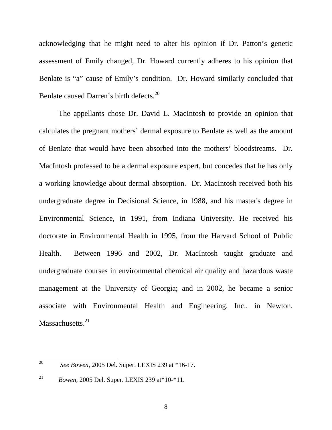acknowledging that he might need to alter his opinion if Dr. Patton's genetic assessment of Emily changed, Dr. Howard currently adheres to his opinion that Benlate is "a" cause of Emily's condition. Dr. Howard similarly concluded that Benlate caused Darren's birth defects.<sup>20</sup>

The appellants chose Dr. David L. MacIntosh to provide an opinion that calculates the pregnant mothers' dermal exposure to Benlate as well as the amount of Benlate that would have been absorbed into the mothers' bloodstreams. Dr. MacIntosh professed to be a dermal exposure expert, but concedes that he has only a working knowledge about dermal absorption. Dr. MacIntosh received both his undergraduate degree in Decisional Science, in 1988, and his master's degree in Environmental Science, in 1991, from Indiana University. He received his doctorate in Environmental Health in 1995, from the Harvard School of Public Health. Between 1996 and 2002, Dr. MacIntosh taught graduate and undergraduate courses in environmental chemical air quality and hazardous waste management at the University of Georgia; and in 2002, he became a senior associate with Environmental Health and Engineering, Inc., in Newton, Massachusetts.<sup>21</sup>

<sup>20</sup> 20 *See Bowen,* 2005 Del. Super. LEXIS 239 at \*16-17.

<sup>21</sup> *Bowen,* 2005 Del. Super. LEXIS 239 at\*10-\*11.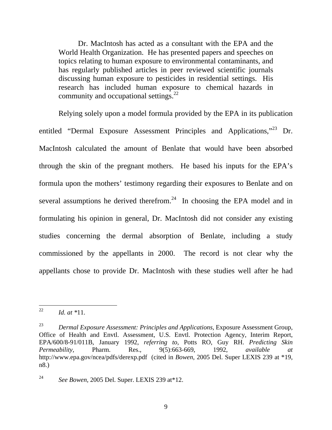Dr. MacIntosh has acted as a consultant with the EPA and the World Health Organization. He has presented papers and speeches on topics relating to human exposure to environmental contaminants, and has regularly published articles in peer reviewed scientific journals discussing human exposure to pesticides in residential settings. His research has included human exposure to chemical hazards in community and occupational settings.<sup>22</sup>

Relying solely upon a model formula provided by the EPA in its publication entitled "Dermal Exposure Assessment Principles and Applications,"23 Dr. MacIntosh calculated the amount of Benlate that would have been absorbed through the skin of the pregnant mothers. He based his inputs for the EPA's formula upon the mothers' testimony regarding their exposures to Benlate and on several assumptions he derived therefrom.<sup>24</sup> In choosing the EPA model and in formulating his opinion in general, Dr. MacIntosh did not consider any existing studies concerning the dermal absorption of Benlate, including a study commissioned by the appellants in 2000. The record is not clear why the appellants chose to provide Dr. MacIntosh with these studies well after he had

<sup>22</sup> 22 *Id. at \**11.

<sup>23</sup> *Dermal Exposure Assessment: Principles and Applications,* Exposure Assessment Group, Office of Health and Envtl. Assessment, U.S. Envtl. Protection Agency, Interim Report, EPA/600/8-91/011B, January 1992, *referring to,* Potts RO, Guy RH. *Predicting Skin Permeability,* Pharm. Res., 9(5):663-669, 1992, *available at* http://www.epa.gov/ncea/pdfs/derexp.pdf (cited in *Bowen*, 2005 Del. Super LEXIS 239 at \*19, n8.)

<sup>24</sup> *See Bowen,* 2005 Del. Super. LEXIS 239 at\*12.

<sup>9</sup>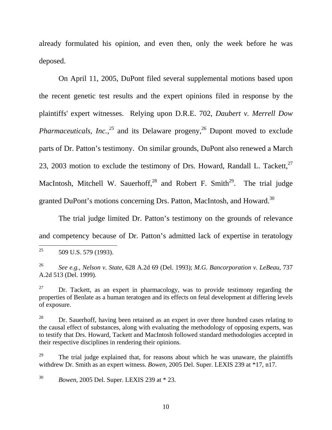already formulated his opinion, and even then, only the week before he was deposed.

 On April 11, 2005, DuPont filed several supplemental motions based upon the recent genetic test results and the expert opinions filed in response by the plaintiffs' expert witnesses. Relying upon D.R.E. 702, *Daubert v. Merrell Dow Pharmaceuticals, Inc.,*<sup>25</sup> and its Delaware progeny,<sup>26</sup> Dupont moved to exclude parts of Dr. Patton's testimony. On similar grounds, DuPont also renewed a March 23, 2003 motion to exclude the testimony of Drs. Howard, Randall L. Tackett,<sup>27</sup> MacIntosh, Mitchell W. Sauerhoff, $28$  and Robert F. Smith $29$ . The trial judge granted DuPont's motions concerning Drs. Patton, MacIntosh, and Howard.<sup>30</sup>

 The trial judge limited Dr. Patton's testimony on the grounds of relevance and competency because of Dr. Patton's admitted lack of expertise in teratology

30 *Bowen*, 2005 Del. Super. LEXIS 239 at \* 23.

<sup>25</sup> 509 U.S. 579 (1993).

<sup>26</sup> *See e.g., Nelson v. State*, 628 A.2d 69 (Del. 1993); *M.G. Bancorporation v. LeBeau*, 737 A.2d 513 (Del. 1999).

 $27$  Dr. Tackett, as an expert in pharmacology, was to provide testimony regarding the properties of Benlate as a human teratogen and its effects on fetal development at differing levels of exposure.

 $28$  Dr. Sauerhoff, having been retained as an expert in over three hundred cases relating to the causal effect of substances, along with evaluating the methodology of opposing experts, was to testify that Drs. Howard, Tackett and MacIntosh followed standard methodologies accepted in their respective disciplines in rendering their opinions.

 $29$  The trial judge explained that, for reasons about which he was unaware, the plaintiffs withdrew Dr. Smith as an expert witness. *Bowen,* 2005 Del. Super. LEXIS 239 at \*17, n17.

<sup>10</sup>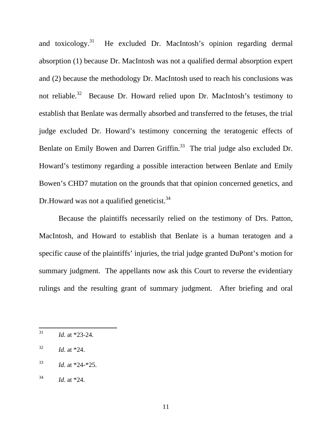and toxicology.<sup>31</sup> He excluded Dr. MacIntosh's opinion regarding dermal absorption (1) because Dr. MacIntosh was not a qualified dermal absorption expert and (2) because the methodology Dr. MacIntosh used to reach his conclusions was not reliable.<sup>32</sup> Because Dr. Howard relied upon Dr. MacIntosh's testimony to establish that Benlate was dermally absorbed and transferred to the fetuses, the trial judge excluded Dr. Howard's testimony concerning the teratogenic effects of Benlate on Emily Bowen and Darren Griffin.<sup>33</sup> The trial judge also excluded Dr. Howard's testimony regarding a possible interaction between Benlate and Emily Bowen's CHD7 mutation on the grounds that that opinion concerned genetics, and Dr. Howard was not a qualified geneticist.  $34$ 

 Because the plaintiffs necessarily relied on the testimony of Drs. Patton, MacIntosh, and Howard to establish that Benlate is a human teratogen and a specific cause of the plaintiffs' injuries, the trial judge granted DuPont's motion for summary judgment. The appellants now ask this Court to reverse the evidentiary rulings and the resulting grant of summary judgment. After briefing and oral

<sup>31</sup> *Id.* at \*23-24.

<sup>32</sup> *Id.* at \*24.

<sup>33</sup> *Id.* at \*24-\*25.

 $^{34}$  *Id.* at \*24.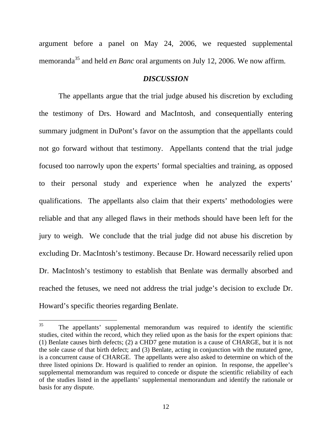argument before a panel on May 24, 2006, we requested supplemental memoranda<sup>35</sup> and held *en Banc* oral arguments on July 12, 2006. We now affirm.

## *DISCUSSION*

 The appellants argue that the trial judge abused his discretion by excluding the testimony of Drs. Howard and MacIntosh, and consequentially entering summary judgment in DuPont's favor on the assumption that the appellants could not go forward without that testimony. Appellants contend that the trial judge focused too narrowly upon the experts' formal specialties and training, as opposed to their personal study and experience when he analyzed the experts' qualifications. The appellants also claim that their experts' methodologies were reliable and that any alleged flaws in their methods should have been left for the jury to weigh. We conclude that the trial judge did not abuse his discretion by excluding Dr. MacIntosh's testimony. Because Dr. Howard necessarily relied upon Dr. MacIntosh's testimony to establish that Benlate was dermally absorbed and reached the fetuses, we need not address the trial judge's decision to exclude Dr. Howard's specific theories regarding Benlate.

<sup>35</sup> The appellants' supplemental memorandum was required to identify the scientific studies, cited within the record, which they relied upon as the basis for the expert opinions that: (1) Benlate causes birth defects; (2) a CHD7 gene mutation is a cause of CHARGE, but it is not the sole cause of that birth defect; and (3) Benlate, acting in conjunction with the mutated gene, is a concurrent cause of CHARGE. The appellants were also asked to determine on which of the three listed opinions Dr. Howard is qualified to render an opinion. In response, the appellee's supplemental memorandum was required to concede or dispute the scientific reliability of each of the studies listed in the appellants' supplemental memorandum and identify the rationale or basis for any dispute.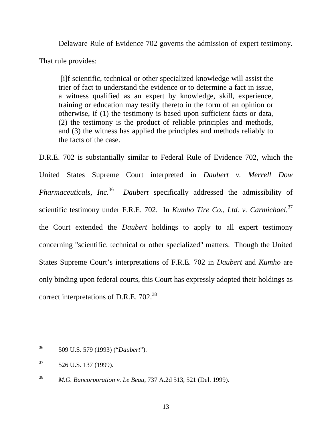Delaware Rule of Evidence 702 governs the admission of expert testimony. That rule provides:

 [i]f scientific, technical or other specialized knowledge will assist the trier of fact to understand the evidence or to determine a fact in issue, a witness qualified as an expert by knowledge, skill, experience, training or education may testify thereto in the form of an opinion or otherwise, if (1) the testimony is based upon sufficient facts or data, (2) the testimony is the product of reliable principles and methods, and (3) the witness has applied the principles and methods reliably to the facts of the case.

D.R.E. 702 is substantially similar to Federal Rule of Evidence 702, which the United States Supreme Court interpreted in *Daubert v. Merrell Dow Pharmaceuticals, Inc.*36 *Daubert* specifically addressed the admissibility of scientific testimony under F.R.E. 702. In *Kumho Tire Co., Ltd. v. Carmichael*, 37 the Court extended the *Daubert* holdings to apply to all expert testimony concerning "scientific, technical or other specialized" matters. Though the United States Supreme Court's interpretations of F.R.E. 702 in *Daubert* and *Kumho* are only binding upon federal courts, this Court has expressly adopted their holdings as correct interpretations of D.R.E. 702.<sup>38</sup>

<sup>36</sup> 36 509 U.S. 579 (1993) ("*Daubert*").

 $37$  526 U.S. 137 (1999).

<sup>38</sup> *M.G. Bancorporation v. Le Beau*, 737 A.2d 513, 521 (Del. 1999).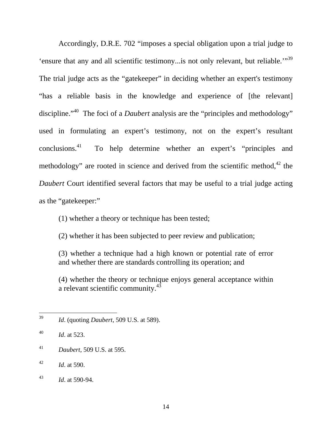Accordingly, D.R.E. 702 "imposes a special obligation upon a trial judge to 'ensure that any and all scientific testimony... is not only relevant, but reliable.'"<sup>39</sup> The trial judge acts as the "gatekeeper" in deciding whether an expert's testimony "has a reliable basis in the knowledge and experience of [the relevant] discipline.<sup>"40</sup> The foci of a *Daubert* analysis are the "principles and methodology" used in formulating an expert's testimony, not on the expert's resultant conclusions.<sup>41</sup> To help determine whether an expert's "principles and methodology" are rooted in science and derived from the scientific method, $42$  the *Daubert* Court identified several factors that may be useful to a trial judge acting as the "gatekeeper:"

(1) whether a theory or technique has been tested;

(2) whether it has been subjected to peer review and publication;

(3) whether a technique had a high known or potential rate of error and whether there are standards controlling its operation; and

(4) whether the theory or technique enjoys general acceptance within a relevant scientific community.43

41 *Daubert*, 509 U.S. at 595.

<sup>39</sup> 39 *Id*. (quoting *Daubert*, 509 U.S. at 589).

<sup>40</sup> *Id*. at 523.

<sup>42</sup> *Id*. at 590.

<sup>43</sup> *Id*. at 590-94.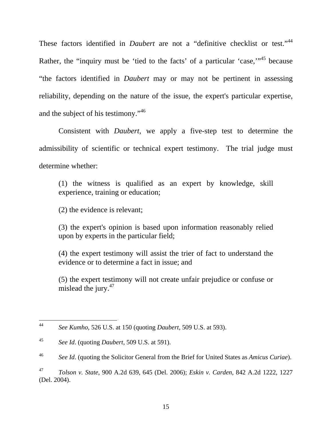These factors identified in *Daubert* are not a "definitive checklist or test."<sup>44</sup> Rather, the "inquiry must be 'tied to the facts' of a particular 'case,"<sup>45</sup> because "the factors identified in *Daubert* may or may not be pertinent in assessing reliability, depending on the nature of the issue, the expert's particular expertise, and the subject of his testimony."<sup>46</sup>

Consistent with *Daubert*, we apply a five-step test to determine the admissibility of scientific or technical expert testimony. The trial judge must determine whether:

(1) the witness is qualified as an expert by knowledge, skill experience, training or education;

(2) the evidence is relevant;

(3) the expert's opinion is based upon information reasonably relied upon by experts in the particular field;

(4) the expert testimony will assist the trier of fact to understand the evidence or to determine a fact in issue; and

(5) the expert testimony will not create unfair prejudice or confuse or mislead the jury. $47$ 

<sup>44</sup> 44 *See Kumho*, 526 U.S. at 150 (quoting *Daubert*, 509 U.S. at 593).

<sup>45</sup> *See Id*. (quoting *Daubert*, 509 U.S. at 591).

<sup>46</sup> *See Id*. (quoting the Solicitor General from the Brief for United States as *Amicus Curiae*).

<sup>47</sup> *Tolson v. State*, 900 A.2d 639, 645 (Del. 2006); *Eskin v. Carden*, 842 A.2d 1222, 1227 (Del. 2004).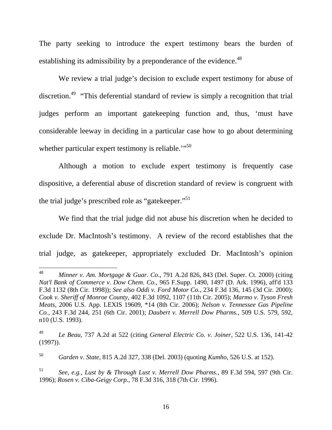The party seeking to introduce the expert testimony bears the burden of establishing its admissibility by a preponderance of the evidence.<sup>48</sup>

We review a trial judge's decision to exclude expert testimony for abuse of discretion.49 "This deferential standard of review is simply a recognition that trial judges perform an important gatekeeping function and, thus, 'must have considerable leeway in deciding in a particular case how to go about determining whether particular expert testimony is reliable. $\cdot$ <sup>50</sup>

Although a motion to exclude expert testimony is frequently case dispositive, a deferential abuse of discretion standard of review is congruent with the trial judge's prescribed role as "gatekeeper."<sup>51</sup>

We find that the trial judge did not abuse his discretion when he decided to exclude Dr. MacIntosh's testimony. A review of the record establishes that the trial judge, as gatekeeper, appropriately excluded Dr. MacIntosh's opinion

<sup>48</sup> 48 *Minner v. Am. Mortgage & Guar. Co*., 791 A.2d 826, 843 (Del. Super. Ct. 2000) (citing *Nat'l Bank of Commerce v. Dow Chem. Co*., 965 F.Supp. 1490, 1497 (D. Ark. 1996), aff'd 133 F.3d 1132 (8th Cir. 1998)); *See also Oddi v. Ford Motor Co.*, 234 F.3d 136, 145 (3d Cir. 2000); *Cook v. Sheriff of Monroe County,* 402 F.3d 1092, 1107 (11th Cir. 2005); *Marmo v. Tyson Fresh Meats*, 2006 U.S. App. LEXIS 19609, \*14 (8th Cir. 2006); *Nelson v. Tennessee Gas Pipeline Co.*, 243 F.3d 244, 251 (6th Cir. 2001); *Daubert v. Merrell Dow Pharms.*, 509 U.S. 579, 592, n10 (U.S. 1993).

<sup>49</sup> *Le Beau*, 737 A.2d at 522 (citing *General Electric Co. v. Joiner,* 522 U.S. 136, 141-42 (1997)).

<sup>50</sup> *Garden v. State*, 815 A.2d 327, 338 (Del. 2003) (quoting *Kumho*, 526 U.S. at 152).

<sup>51</sup> *See, e.g.*, *Lust by & Through Lust v. Merrell Dow Pharms.*, 89 F.3d 594, 597 (9th Cir. 1996); *Rosen v. Ciba-Geigy Corp.,* 78 F.3d 316, 318 (7th Cir. 1996).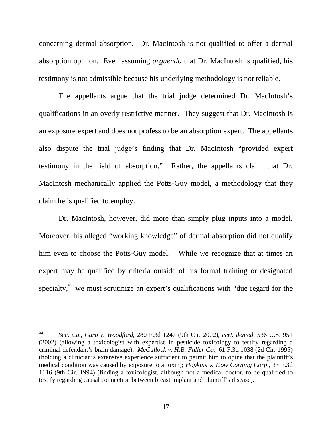concerning dermal absorption. Dr. MacIntosh is not qualified to offer a dermal absorption opinion. Even assuming *arguendo* that Dr. MacIntosh is qualified, his testimony is not admissible because his underlying methodology is not reliable.

The appellants argue that the trial judge determined Dr. MacIntosh's qualifications in an overly restrictive manner. They suggest that Dr. MacIntosh is an exposure expert and does not profess to be an absorption expert. The appellants also dispute the trial judge's finding that Dr. MacIntosh "provided expert testimony in the field of absorption." Rather, the appellants claim that Dr. MacIntosh mechanically applied the Potts-Guy model, a methodology that they claim he is qualified to employ.

 Dr. MacIntosh, however, did more than simply plug inputs into a model. Moreover, his alleged "working knowledge" of dermal absorption did not qualify him even to choose the Potts-Guy model. While we recognize that at times an expert may be qualified by criteria outside of his formal training or designated specialty,<sup>52</sup> we must scrutinize an expert's qualifications with "due regard for the

<sup>52</sup> 52 *See, e.g.*, *Caro v. Woodford*, 280 F.3d 1247 (9th Cir. 2002), *cert. denied*, 536 U.S. 951 (2002) (allowing a toxicologist with expertise in pesticide toxicology to testify regarding a criminal defendant's brain damage); *McCullock v. H.B. Fuller Co.*, 61 F.3d 1038 (2d Cir. 1995) (holding a clinician's extensive experience sufficient to permit him to opine that the plaintiff's medical condition was caused by exposure to a toxin); *Hopkins v. Dow Corning Corp*., 33 F.3d 1116 (9th Cir. 1994) (finding a toxicologist, although not a medical doctor, to be qualified to testify regarding causal connection between breast implant and plaintiff's disease).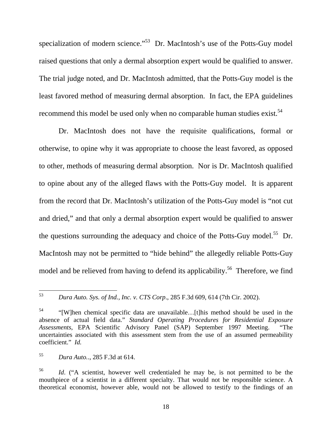specialization of modern science."<sup>53</sup> Dr. MacIntosh's use of the Potts-Guy model raised questions that only a dermal absorption expert would be qualified to answer. The trial judge noted, and Dr. MacIntosh admitted, that the Potts-Guy model is the least favored method of measuring dermal absorption. In fact, the EPA guidelines recommend this model be used only when no comparable human studies exist.<sup>54</sup>

Dr. MacIntosh does not have the requisite qualifications, formal or otherwise, to opine why it was appropriate to choose the least favored, as opposed to other, methods of measuring dermal absorption. Nor is Dr. MacIntosh qualified to opine about any of the alleged flaws with the Potts-Guy model. It is apparent from the record that Dr. MacIntosh's utilization of the Potts-Guy model is "not cut and dried," and that only a dermal absorption expert would be qualified to answer the questions surrounding the adequacy and choice of the Potts-Guy model.<sup>55</sup> Dr. MacIntosh may not be permitted to "hide behind" the allegedly reliable Potts-Guy model and be relieved from having to defend its applicability.<sup>56</sup> Therefore, we find

<sup>53</sup> 53 *Dura Auto. Sys. of Ind., Inc. v. CTS Corp*., 285 F.3d 609, 614 (7th Cir. 2002).

<sup>54 &</sup>quot;[W]hen chemical specific data are unavailable…[t]his method should be used in the absence of actual field data." *Standard Operating Procedures for Residential Exposure Assessments*, EPA Scientific Advisory Panel (SAP) September 1997 Meeting. "The uncertainties associated with this assessment stem from the use of an assumed permeability coefficient." *Id.*

<sup>55</sup> *Dura Auto.*., 285 F.3d at 614.

<sup>56</sup> *Id*. ("A scientist, however well credentialed he may be, is not permitted to be the mouthpiece of a scientist in a different specialty. That would not be responsible science. A theoretical economist, however able, would not be allowed to testify to the findings of an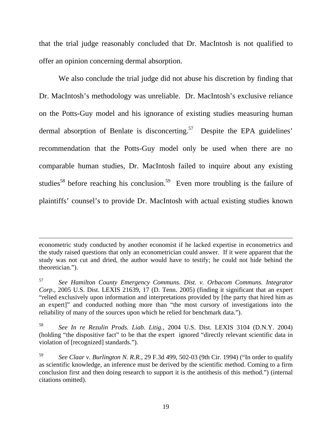that the trial judge reasonably concluded that Dr. MacIntosh is not qualified to offer an opinion concerning dermal absorption.

We also conclude the trial judge did not abuse his discretion by finding that Dr. MacIntosh's methodology was unreliable. Dr. MacIntosh's exclusive reliance on the Potts-Guy model and his ignorance of existing studies measuring human dermal absorption of Benlate is disconcerting.<sup>57</sup> Despite the EPA guidelines' recommendation that the Potts-Guy model only be used when there are no comparable human studies, Dr. MacIntosh failed to inquire about any existing studies<sup>58</sup> before reaching his conclusion.<sup>59</sup> Even more troubling is the failure of plaintiffs' counsel's to provide Dr. MacIntosh with actual existing studies known

 $\overline{a}$ 

econometric study conducted by another economist if he lacked expertise in econometrics and the study raised questions that only an econometrician could answer. If it were apparent that the study was not cut and dried, the author would have to testify; he could not hide behind the theoretician.").

<sup>57</sup> *See Hamilton County Emergency Communs. Dist. v. Orbacom Communs. Integrator Corp*., 2005 U.S. Dist. LEXIS 21639, 17 (D. Tenn. 2005) (finding it significant that an expert "relied exclusively upon information and interpretations provided by [the party that hired him as an expert]" and conducted nothing more than "the most cursory of investigations into the reliability of many of the sources upon which he relied for benchmark data.").

<sup>58</sup> *See In re Rezulin Prods. Liab. Litig.*, 2004 U.S. Dist. LEXIS 3104 (D.N.Y. 2004) (holding "the dispositive fact" to be that the expert ignored "directly relevant scientific data in violation of [recognized] standards.").

<sup>59</sup> *See Claar v. Burlington N. R.R.*, 29 F.3d 499, 502-03 (9th Cir. 1994) ("In order to qualify as scientific knowledge, an inference must be derived by the scientific method. Coming to a firm conclusion first and then doing research to support it is the antithesis of this method.") (internal citations omitted).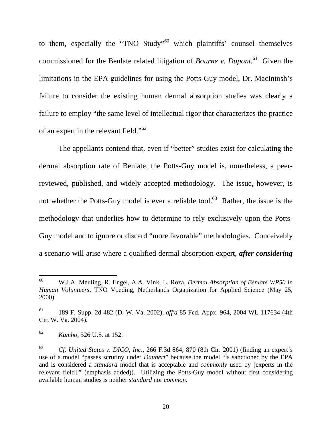to them, especially the "TNO Study"<sup>60</sup> which plaintiffs' counsel themselves commissioned for the Benlate related litigation of *Bourne v. Dupont*. 61 Given the limitations in the EPA guidelines for using the Potts-Guy model, Dr. MacIntosh's failure to consider the existing human dermal absorption studies was clearly a failure to employ "the same level of intellectual rigor that characterizes the practice of an expert in the relevant field."<sup>62</sup>

The appellants contend that, even if "better" studies exist for calculating the dermal absorption rate of Benlate, the Potts-Guy model is, nonetheless, a peerreviewed, published, and widely accepted methodology. The issue, however, is not whether the Potts-Guy model is ever a reliable tool.<sup>63</sup> Rather, the issue is the methodology that underlies how to determine to rely exclusively upon the Potts-Guy model and to ignore or discard "more favorable" methodologies. Conceivably a scenario will arise where a qualified dermal absorption expert, *after considering* 

<sup>60</sup> 60 W.J.A. Meuling, R. Engel, A.A. Vink, L. Roza, *Dermal Absorption of Benlate WP50 in Human Volunteers,* TNO Voeding, Netherlands Organization for Applied Science (May 25, 2000).

<sup>61 189</sup> F. Supp. 2d 482 (D. W. Va. 2002), *aff'd* 85 Fed. Appx. 964, 2004 WL 117634 (4th Cir. W. Va. 2004).

<sup>62</sup> *Kumho*, 526 U.S. at 152.

<sup>63</sup> *Cf. United States v. DICO, Inc*., 266 F.3d 864, 870 (8th Cir. 2001) (finding an expert's use of a model "passes scrutiny under *Daubert*" because the model "is sanctioned by the EPA and is considered a *standard* model that is acceptable and *commonly* used by [experts in the relevant field]." (emphasis added)). Utilizing the Potts-Guy model without first considering available human studies is neither *standard* nor *common*.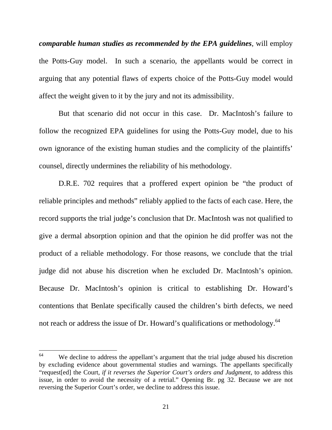*comparable human studies as recommended by the EPA guidelines*, will employ the Potts-Guy model. In such a scenario, the appellants would be correct in arguing that any potential flaws of experts choice of the Potts-Guy model would affect the weight given to it by the jury and not its admissibility.

But that scenario did not occur in this case. Dr. MacIntosh's failure to follow the recognized EPA guidelines for using the Potts-Guy model, due to his own ignorance of the existing human studies and the complicity of the plaintiffs' counsel, directly undermines the reliability of his methodology.

D.R.E. 702 requires that a proffered expert opinion be "the product of reliable principles and methods" reliably applied to the facts of each case. Here, the record supports the trial judge's conclusion that Dr. MacIntosh was not qualified to give a dermal absorption opinion and that the opinion he did proffer was not the product of a reliable methodology. For those reasons, we conclude that the trial judge did not abuse his discretion when he excluded Dr. MacIntosh's opinion. Because Dr. MacIntosh's opinion is critical to establishing Dr. Howard's contentions that Benlate specifically caused the children's birth defects, we need not reach or address the issue of Dr. Howard's qualifications or methodology.<sup>64</sup>

<sup>64</sup> We decline to address the appellant's argument that the trial judge abused his discretion by excluding evidence about governmental studies and warnings. The appellants specifically "request[ed] the Court, *if it reverses the Superior Court's orders and Judgment*, to address this issue, in order to avoid the necessity of a retrial." Opening Br. pg 32. Because we are not reversing the Superior Court's order, we decline to address this issue.